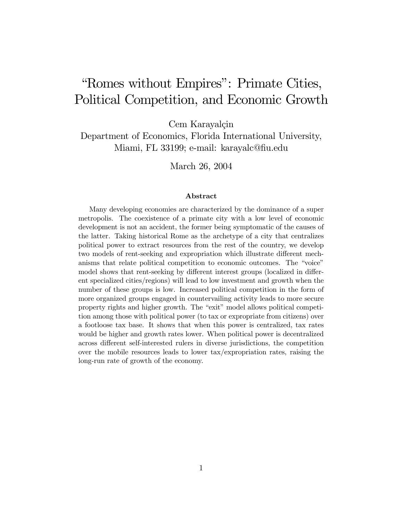# "Romes without Empires": Primate Cities, Political Competition, and Economic Growth

Cem Karayalçin

Department of Economics, Florida International University, Miami, FL 33199; e-mail: karayalc@fiu.edu

March 26, 2004

#### Abstract

Many developing economies are characterized by the dominance of a super metropolis. The coexistence of a primate city with a low level of economic development is not an accident, the former being symptomatic of the causes of the latter. Taking historical Rome as the archetype of a city that centralizes political power to extract resources from the rest of the country, we develop two models of rent-seeking and expropriation which illustrate different mechanisms that relate political competition to economic outcomes. The "voice" model shows that rent-seeking by different interest groups (localized in different specialized cities/regions) will lead to low investment and growth when the number of these groups is low. Increased political competition in the form of more organized groups engaged in countervailing activity leads to more secure property rights and higher growth. The "exit" model allows political competition among those with political power (to tax or expropriate from citizens) over a footloose tax base. It shows that when this power is centralized, tax rates would be higher and growth rates lower. When political power is decentralized across different self-interested rulers in diverse jurisdictions, the competition over the mobile resources leads to lower tax/expropriation rates, raising the long-run rate of growth of the economy.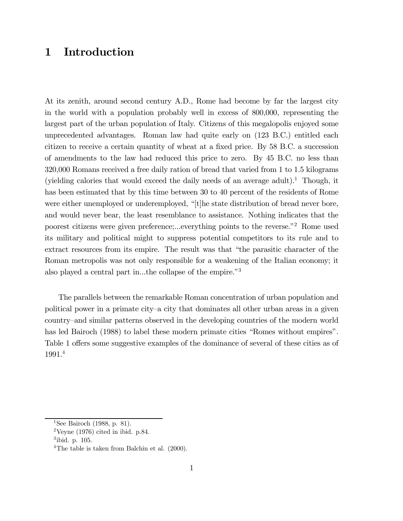## 1 Introduction

At its zenith, around second century A.D., Rome had become by far the largest city in the world with a population probably well in excess of 800,000, representing the largest part of the urban population of Italy. Citizens of this megalopolis enjoyed some unprecedented advantages. Roman law had quite early on (123 B.C.) entitled each citizen to receive a certain quantity of wheat at a fixed price. By 58 B.C. a succession of amendments to the law had reduced this price to zero. By 45 B.C. no less than 320,000 Romans received a free daily ration of bread that varied from 1 to 1.5 kilograms (yielding calories that would exceed the daily needs of an average adult).<sup>1</sup> Though, it has been estimated that by this time between 30 to 40 percent of the residents of Rome were either unemployed or underemployed, "[t]he state distribution of bread never bore, and would never bear, the least resemblance to assistance. Nothing indicates that the poorest citizens were given preference;...everything points to the reverse.<sup>"2</sup> Rome used its military and political might to suppress potential competitors to its rule and to extract resources from its empire. The result was that "the parasitic character of the Roman metropolis was not only responsible for a weakening of the Italian economy; it also played a central part in...the collapse of the empire.<sup>3</sup>

The parallels between the remarkable Roman concentration of urban population and political power in a primate city–a city that dominates all other urban areas in a given country–and similar patterns observed in the developing countries of the modern world has led Bairoch (1988) to label these modern primate cities "Romes without empires". Table 1 offers some suggestive examples of the dominance of several of these cities as of 1991.4

<sup>&</sup>lt;sup>1</sup>See Bairoch (1988, p. 81).

 $2$ Veyne (1976) cited in ibid. p.84.

 $3$ ibid. p. 105.

<sup>&</sup>lt;sup>4</sup>The table is taken from Balchin et al. (2000).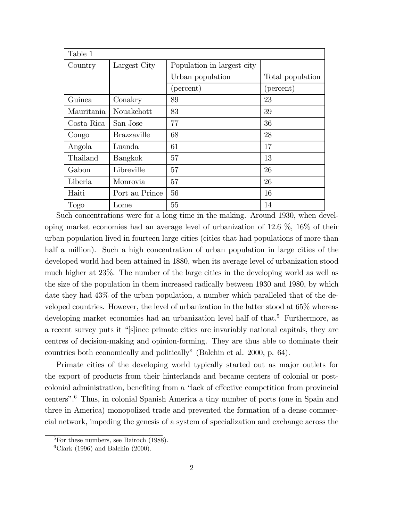| Table 1    |                    |                            |                    |  |  |
|------------|--------------------|----------------------------|--------------------|--|--|
| Country    | Largest City       | Population in largest city |                    |  |  |
|            |                    | Urban population           | Total population   |  |  |
|            |                    | (percent)                  | $(\text{percent})$ |  |  |
| Guinea     | Conakry            | 89                         | 23                 |  |  |
| Mauritania | Nouakchott         | 83                         | 39                 |  |  |
| Costa Rica | San Jose           | 77                         | 36                 |  |  |
| Congo      | <b>Brazzaville</b> | 68                         | 28                 |  |  |
| Angola     | Luanda             | 61                         | 17                 |  |  |
| Thailand   | Bangkok            | 57                         | 13                 |  |  |
| Gabon      | Libreville         | 57                         | 26                 |  |  |
| Liberia    | Monrovia           | 57                         | 26                 |  |  |
| Haiti      | Port au Prince     | 56                         | 16                 |  |  |
| Togo       | Lome               | 55                         | 14                 |  |  |

Such concentrations were for a long time in the making. Around 1930, when developing market economies had an average level of urbanization of 12.6 %, 16% of their urban population lived in fourteen large cities (cities that had populations of more than half a million). Such a high concentration of urban population in large cities of the developed world had been attained in 1880, when its average level of urbanization stood much higher at 23%. The number of the large cities in the developing world as well as the size of the population in them increased radically between 1930 and 1980, by which date they had 43% of the urban population, a number which paralleled that of the developed countries. However, the level of urbanization in the latter stood at 65% whereas developing market economies had an urbanization level half of that.<sup>5</sup> Furthermore, as a recent survey puts it "[s]ince primate cities are invariably national capitals, they are centres of decision-making and opinion-forming. They are thus able to dominate their countries both economically and politicallyî (Balchin et al. 2000, p. 64).

Primate cities of the developing world typically started out as major outlets for the export of products from their hinterlands and became centers of colonial or postcolonial administration, benefiting from a "lack of effective competition from provincial centersî.6 Thus, in colonial Spanish America a tiny number of ports (one in Spain and three in America) monopolized trade and prevented the formation of a dense commercial network, impeding the genesis of a system of specialization and exchange across the

 ${}^{5}$ For these numbers, see Bairoch (1988).

 ${}^{6}$ Clark (1996) and Balchin (2000).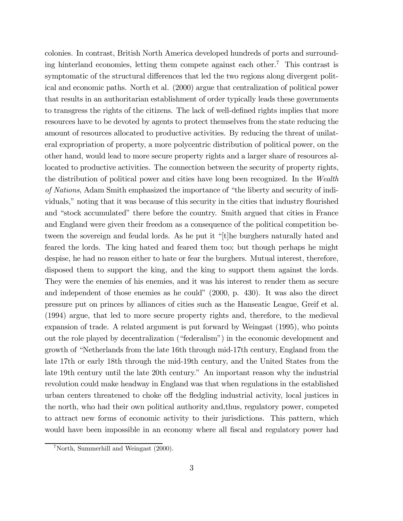colonies. In contrast, British North America developed hundreds of ports and surrounding hinterland economies, letting them compete against each other.<sup>7</sup> This contrast is symptomatic of the structural differences that led the two regions along divergent political and economic paths. North et al. (2000) argue that centralization of political power that results in an authoritarian establishment of order typically leads these governments to transgress the rights of the citizens. The lack of well-defined rights implies that more resources have to be devoted by agents to protect themselves from the state reducing the amount of resources allocated to productive activities. By reducing the threat of unilateral expropriation of property, a more polycentric distribution of political power, on the other hand, would lead to more secure property rights and a larger share of resources allocated to productive activities. The connection between the security of property rights, the distribution of political power and cities have long been recognized. In the Wealth of Nations, Adam Smith emphasized the importance of "the liberty and security of individuals,î noting that it was because of this security in the cities that industry flourished and "stock accumulated" there before the country. Smith argued that cities in France and England were given their freedom as a consequence of the political competition between the sovereign and feudal lords. As he put it  $\lq$ <sup>t</sup>[t]he burghers naturally hated and feared the lords. The king hated and feared them too; but though perhaps he might despise, he had no reason either to hate or fear the burghers. Mutual interest, therefore, disposed them to support the king, and the king to support them against the lords. They were the enemies of his enemies, and it was his interest to render them as secure and independent of those enemies as he could"  $(2000, p. 430)$ . It was also the direct pressure put on princes by alliances of cities such as the Hanseatic League, Greif et al. (1994) argue, that led to more secure property rights and, therefore, to the medieval expansion of trade. A related argument is put forward by Weingast (1995), who points out the role played by decentralization ("federalism") in the economic development and growth of "Netherlands from the late 16th through mid-17th century, England from the late 17th or early 18th through the mid-19th century, and the United States from the late 19th century until the late 20th century." An important reason why the industrial revolution could make headway in England was that when regulations in the established urban centers threatened to choke off the fledgling industrial activity, local justices in the north, who had their own political authority and,thus, regulatory power, competed to attract new forms of economic activity to their jurisdictions. This pattern, which would have been impossible in an economy where all fiscal and regulatory power had

<sup>7</sup>North, Summerhill and Weingast (2000).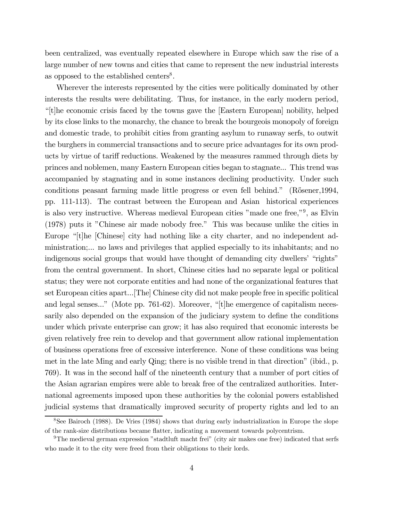been centralized, was eventually repeated elsewhere in Europe which saw the rise of a large number of new towns and cities that came to represent the new industrial interests as opposed to the established centers<sup>8</sup>.

Wherever the interests represented by the cities were politically dominated by other interests the results were debilitating. Thus, for instance, in the early modern period, ì[t]he economic crisis faced by the towns gave the [Eastern European] nobility, helped by its close links to the monarchy, the chance to break the bourgeois monopoly of foreign and domestic trade, to prohibit cities from granting asylum to runaway serfs, to outwit the burghers in commercial transactions and to secure price advantages for its own products by virtue of tariff reductions. Weakened by the measures rammed through diets by princes and noblemen, many Eastern European cities began to stagnate... This trend was accompanied by stagnating and in some instances declining productivity. Under such conditions peasant farming made little progress or even fell behind." (Rösener, 1994, pp. 111-113). The contrast between the European and Asian historical experiences is also very instructive. Whereas medieval European cities  $"$  made one free, $"$ <sup>9</sup>, as Elvin  $(1978)$  puts it "Chinese air made nobody free." This was because unlike the cities in Europe  $\lvert$ <sup>"</sup>(t]he [Chinese] city had nothing like a city charter, and no independent administration;... no laws and privileges that applied especially to its inhabitants; and no indigenous social groups that would have thought of demanding city dwellers' "rights" from the central government. In short, Chinese cities had no separate legal or political status; they were not corporate entities and had none of the organizational features that set European cities apart...[The] Chinese city did not make people free in specific political and legal senses..." (Mote pp. 761-62). Moreover, " $[t]$ he emergence of capitalism necessarily also depended on the expansion of the judiciary system to define the conditions under which private enterprise can grow; it has also required that economic interests be given relatively free rein to develop and that government allow rational implementation of business operations free of excessive interference. None of these conditions was being met in the late Ming and early Qing; there is no visible trend in that direction" (ibid., p. 769). It was in the second half of the nineteenth century that a number of port cities of the Asian agrarian empires were able to break free of the centralized authorities. International agreements imposed upon these authorities by the colonial powers established judicial systems that dramatically improved security of property rights and led to an

<sup>8</sup>See Bairoch (1988). De Vries (1984) shows that during early industrialization in Europe the slope of the rank-size distributions became flatter, indicating a movement towards polycentrism.

<sup>&</sup>lt;sup>9</sup>The medieval german expression "stadtluft macht frei" (city air makes one free) indicated that serfs who made it to the city were freed from their obligations to their lords.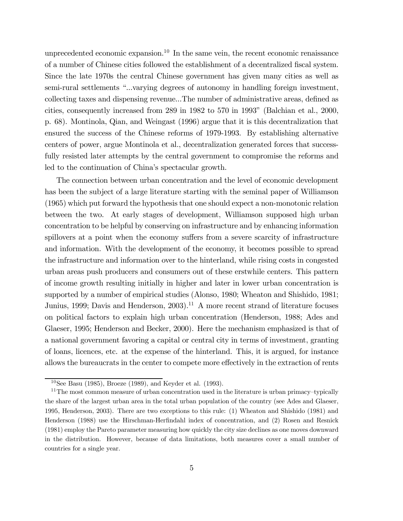unprecedented economic expansion.<sup>10</sup> In the same vein, the recent economic renaissance of a number of Chinese cities followed the establishment of a decentralized fiscal system. Since the late 1970s the central Chinese government has given many cities as well as semi-rural settlements "...varying degrees of autonomy in handling foreign investment, collecting taxes and dispensing revenue...The number of administrative areas, defined as cities, consequently increased from  $289$  in  $1982$  to  $570$  in  $1993$ " (Balchian et al.,  $2000$ , p. 68). Montinola, Qian, and Weingast (1996) argue that it is this decentralization that ensured the success of the Chinese reforms of 1979-1993. By establishing alternative centers of power, argue Montinola et al., decentralization generated forces that successfully resisted later attempts by the central government to compromise the reforms and led to the continuation of China's spectacular growth.

The connection between urban concentration and the level of economic development has been the subject of a large literature starting with the seminal paper of Williamson (1965) which put forward the hypothesis that one should expect a non-monotonic relation between the two. At early stages of development, Williamson supposed high urban concentration to be helpful by conserving on infrastructure and by enhancing information spillovers at a point when the economy suffers from a severe scarcity of infrastructure and information. With the development of the economy, it becomes possible to spread the infrastructure and information over to the hinterland, while rising costs in congested urban areas push producers and consumers out of these erstwhile centers. This pattern of income growth resulting initially in higher and later in lower urban concentration is supported by a number of empirical studies (Alonso, 1980; Wheaton and Shishido, 1981; Junius, 1999; Davis and Henderson, 2003).<sup>11</sup> A more recent strand of literature focuses on political factors to explain high urban concentration (Henderson, 1988; Ades and Glaeser, 1995; Henderson and Becker, 2000). Here the mechanism emphasized is that of a national government favoring a capital or central city in terms of investment, granting of loans, licences, etc. at the expense of the hinterland. This, it is argued, for instance allows the bureaucrats in the center to compete more effectively in the extraction of rents

 $10$ See Basu (1985), Broeze (1989), and Keyder et al. (1993).

 $11$ The most common measure of urban concentration used in the literature is urban primacy-typically the share of the largest urban area in the total urban population of the country (see Ades and Glaeser, 1995, Henderson, 2003). There are two exceptions to this rule: (1) Wheaton and Shishido (1981) and Henderson (1988) use the Hirschman-Herfindahl index of concentration, and (2) Rosen and Resnick (1981) employ the Pareto parameter measuring how quickly the city size declines as one moves downward in the distribution. However, because of data limitations, both measures cover a small number of countries for a single year.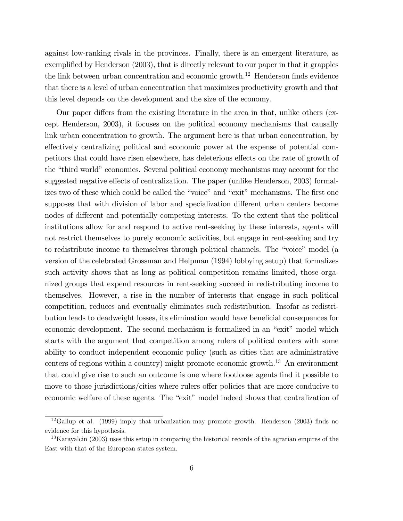against low-ranking rivals in the provinces. Finally, there is an emergent literature, as exemplified by Henderson (2003), that is directly relevant to our paper in that it grapples the link between urban concentration and economic growth.<sup>12</sup> Henderson finds evidence that there is a level of urban concentration that maximizes productivity growth and that this level depends on the development and the size of the economy.

Our paper differs from the existing literature in the area in that, unlike others (except Henderson, 2003), it focuses on the political economy mechanisms that causally link urban concentration to growth. The argument here is that urban concentration, by effectively centralizing political and economic power at the expense of potential competitors that could have risen elsewhere, has deleterious effects on the rate of growth of the "third world" economies. Several political economy mechanisms may account for the suggested negative effects of centralization. The paper (unlike Henderson, 2003) formalizes two of these which could be called the "voice" and "exit" mechanisms. The first one supposes that with division of labor and specialization different urban centers become nodes of different and potentially competing interests. To the extent that the political institutions allow for and respond to active rent-seeking by these interests, agents will not restrict themselves to purely economic activities, but engage in rent-seeking and try to redistribute income to themselves through political channels. The "voice" model (a version of the celebrated Grossman and Helpman (1994) lobbying setup) that formalizes such activity shows that as long as political competition remains limited, those organized groups that expend resources in rent-seeking succeed in redistributing income to themselves. However, a rise in the number of interests that engage in such political competition, reduces and eventually eliminates such redistribution. Insofar as redistribution leads to deadweight losses, its elimination would have beneficial consequences for economic development. The second mechanism is formalized in an "exit" model which starts with the argument that competition among rulers of political centers with some ability to conduct independent economic policy (such as cities that are administrative centers of regions within a country) might promote economic growth.<sup>13</sup> An environment that could give rise to such an outcome is one where footloose agents find it possible to move to those jurisdictions/cities where rulers offer policies that are more conducive to economic welfare of these agents. The "exit" model indeed shows that centralization of

<sup>&</sup>lt;sup>12</sup>Gallup et al. (1999) imply that urbanization may promote growth. Henderson (2003) finds no evidence for this hypothesis.

<sup>&</sup>lt;sup>13</sup>Karayalcin (2003) uses this setup in comparing the historical records of the agrarian empires of the East with that of the European states system.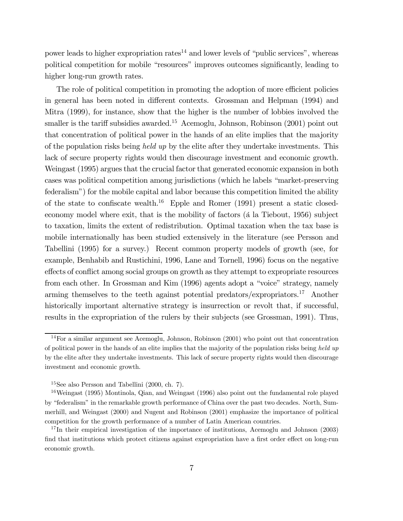power leads to higher expropriation rates<sup>14</sup> and lower levels of "public services", whereas political competition for mobile "resources" improves outcomes significantly, leading to higher long-run growth rates.

The role of political competition in promoting the adoption of more efficient policies in general has been noted in different contexts. Grossman and Helpman (1994) and Mitra (1999), for instance, show that the higher is the number of lobbies involved the smaller is the tariff subsidies awarded.<sup>15</sup> Acemoglu, Johnson, Robinson  $(2001)$  point out that concentration of political power in the hands of an elite implies that the majority of the population risks being held up by the elite after they undertake investments. This lack of secure property rights would then discourage investment and economic growth. Weingast (1995) argues that the crucial factor that generated economic expansion in both cases was political competition among jurisdictions (which he labels "market-preserving federalism") for the mobile capital and labor because this competition limited the ability of the state to confiscate wealth.<sup>16</sup> Epple and Romer  $(1991)$  present a static closedeconomy model where exit, that is the mobility of factors (a la Tiebout, 1956) subject to taxation, limits the extent of redistribution. Optimal taxation when the tax base is mobile internationally has been studied extensively in the literature (see Persson and Tabellini (1995) for a survey.) Recent common property models of growth (see, for example, Benhabib and Rustichini, 1996, Lane and Tornell, 1996) focus on the negative effects of conflict among social groups on growth as they attempt to expropriate resources from each other. In Grossman and Kim  $(1996)$  agents adopt a "voice" strategy, namely arming themselves to the teeth against potential predators/expropriators.<sup>17</sup> Another historically important alternative strategy is insurrection or revolt that, if successful, results in the expropriation of the rulers by their subjects (see Grossman, 1991). Thus,

<sup>14</sup>For a similar argument see Acemoglu, Johnson, Robinson (2001) who point out that concentration of political power in the hands of an elite implies that the majority of the population risks being held up by the elite after they undertake investments. This lack of secure property rights would then discourage investment and economic growth.

<sup>15</sup>See also Persson and Tabellini (2000, ch. 7).

<sup>&</sup>lt;sup>16</sup>Weingast (1995) Montinola, Qian, and Weingast (1996) also point out the fundamental role played by "federalism" in the remarkable growth performance of China over the past two decades. North, Summerhill, and Weingast (2000) and Nugent and Robinson (2001) emphasize the importance of political competition for the growth performance of a number of Latin American countries.

 $17$ In their empirical investigation of the importance of institutions, Acemoglu and Johnson (2003) find that institutions which protect citizens against expropriation have a first order effect on long-run economic growth.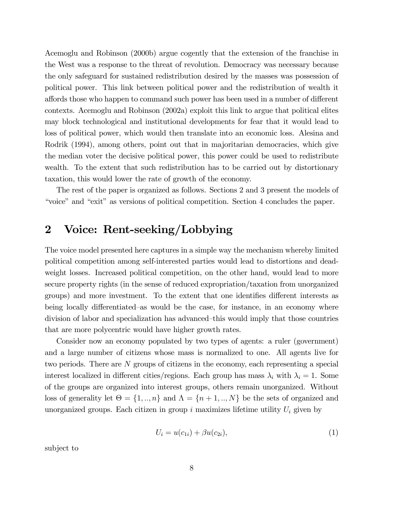Acemoglu and Robinson (2000b) argue cogently that the extension of the franchise in the West was a response to the threat of revolution. Democracy was necessary because the only safeguard for sustained redistribution desired by the masses was possession of political power. This link between political power and the redistribution of wealth it affords those who happen to command such power has been used in a number of different contexts. Acemoglu and Robinson (2002a) exploit this link to argue that political elites may block technological and institutional developments for fear that it would lead to loss of political power, which would then translate into an economic loss. Alesina and Rodrik (1994), among others, point out that in majoritarian democracies, which give the median voter the decisive political power, this power could be used to redistribute wealth. To the extent that such redistribution has to be carried out by distortionary taxation, this would lower the rate of growth of the economy.

The rest of the paper is organized as follows. Sections 2 and 3 present the models of ìvoiceî and ìexitî as versions of political competition. Section 4 concludes the paper.

## 2 Voice: Rent-seeking/Lobbying

The voice model presented here captures in a simple way the mechanism whereby limited political competition among self-interested parties would lead to distortions and deadweight losses. Increased political competition, on the other hand, would lead to more secure property rights (in the sense of reduced expropriation/taxation from unorganized groups) and more investment. To the extent that one identifies different interests as being locally differentiated–as would be the case, for instance, in an economy where division of labor and specialization has advanced–this would imply that those countries that are more polycentric would have higher growth rates.

Consider now an economy populated by two types of agents: a ruler (government) and a large number of citizens whose mass is normalized to one. All agents live for two periods. There are N groups of citizens in the economy, each representing a special interest localized in different cities/regions. Each group has mass  $\lambda_i$  with  $\lambda_i = 1$ . Some of the groups are organized into interest groups, others remain unorganized. Without loss of generality let  $\Theta = \{1, ..., n\}$  and  $\Lambda = \{n+1, ..., N\}$  be the sets of organized and unorganized groups. Each citizen in group  $i$  maximizes lifetime utility  $U_i$  given by

$$
U_i = u(c_{1i}) + \beta u(c_{2i}), \tag{1}
$$

subject to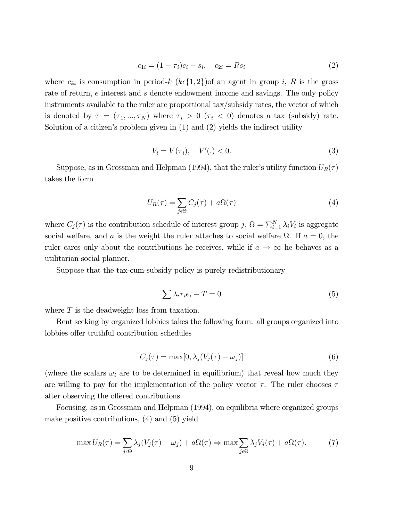$$
c_{1i} = (1 - \tau_i)e_i - s_i, \quad c_{2i} = Rs_i \tag{2}
$$

where  $c_{ki}$  is consumption in period-k  $(k \in \{1, 2\})$  an agent in group i, R is the gross rate of return, e interest and s denote endowment income and savings. The only policy instruments available to the ruler are proportional tax/subsidy rates, the vector of which is denoted by  $\tau = (\tau_1, ..., \tau_N)$  where  $\tau_i > 0$  ( $\tau_i < 0$ ) denotes a tax (subsidy) rate. Solution of a citizen's problem given in  $(1)$  and  $(2)$  yields the indirect utility

$$
V_i = V(\tau_i), \quad V'(.) < 0.
$$
\n(3)

Suppose, as in Grossman and Helpman (1994), that the ruler's utility function  $U_R(\tau)$ takes the form

$$
U_R(\tau) = \sum_{j \in \Theta} C_j(\tau) + a\Omega(\tau) \tag{4}
$$

where  $C_j(\tau)$  is the contribution schedule of interest group  $j$ ,  $\Omega = \sum_{i=1}^N \lambda_i V_i$  is aggregate social welfare, and a is the weight the ruler attaches to social welfare  $\Omega$ . If  $a = 0$ , the ruler cares only about the contributions he receives, while if  $a \to \infty$  he behaves as a utilitarian social planner.

Suppose that the tax-cum-subsidy policy is purely redistributionary

$$
\sum \lambda_i \tau_i e_i - T = 0 \tag{5}
$$

where T is the deadweight loss from taxation.

Rent seeking by organized lobbies takes the following form: all groups organized into lobbies offer truthful contribution schedules

$$
C_j(\tau) = \max[0, \lambda_j(V_j(\tau) - \omega_j)] \tag{6}
$$

(where the scalars  $\omega_i$  are to be determined in equilibrium) that reveal how much they are willing to pay for the implementation of the policy vector  $\tau$ . The ruler chooses  $\tau$ after observing the offered contributions.

Focusing, as in Grossman and Helpman (1994), on equilibria where organized groups make positive contributions, (4) and (5) yield

$$
\max U_R(\tau) = \sum_{j \in \Theta} \lambda_j (V_j(\tau) - \omega_j) + a\Omega(\tau) \Rightarrow \max \sum_{j \in \Theta} \lambda_j V_j(\tau) + a\Omega(\tau). \tag{7}
$$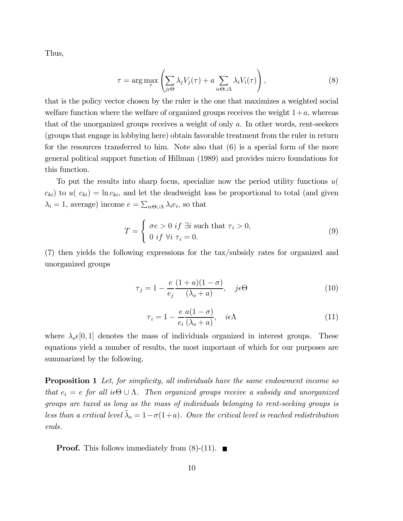Thus,

$$
\tau = \arg \max_{\tau} \left( \sum_{j \in \Theta} \lambda_j V_j(\tau) + a \sum_{i \in \Theta \cup \Lambda} \lambda_i V_i(\tau) \right), \tag{8}
$$

that is the policy vector chosen by the ruler is the one that maximizes a weighted social welfare function where the welfare of organized groups receives the weight  $1+a$ , whereas that of the unorganized groups receives a weight of only a. In other words, rent-seekers (groups that engage in lobbying here) obtain favorable treatment from the ruler in return for the resources transferred to him. Note also that (6) is a special form of the more general political support function of Hillman (1989) and provides micro foundations for this function.

To put the results into sharp focus, specialize now the period utility functions u(  $c_{ki}$ ) to  $u(c_{ki}) = \ln c_{ki}$ , and let the deadweight loss be proportional to total (and given  $\lambda_i = 1$ , average) income  $e = \sum_{i \in \Theta \cup \Lambda} \lambda_i e_i$ , so that

$$
T = \begin{cases} \sigma e > 0 \text{ if } \exists i \text{ such that } \tau_i > 0, \\ 0 \text{ if } \forall i \tau_i = 0. \end{cases}
$$
 (9)

(7) then yields the following expressions for the tax/subsidy rates for organized and unorganized groups

$$
\tau_j = 1 - \frac{e}{e_j} \frac{(1+a)(1-\sigma)}{(\lambda_o + a)}, \quad j \in \Theta
$$
\n(10)

$$
\tau_i = 1 - \frac{e}{e_i} \frac{a(1 - \sigma)}{(\lambda_o + a)}, \quad i\epsilon \Lambda \tag{11}
$$

where  $\lambda_o \epsilon [0, 1]$  denotes the mass of individuals organized in interest groups. These equations yield a number of results, the most important of which for our purposes are summarized by the following.

**Proposition 1** Let, for simplicity, all individuals have the same endowment income so that  $e_i = e$  for all  $i \in \Theta \cup \Lambda$ . Then organized groups receive a subsidy and unorganized groups are taxed as long as the mass of individuals belonging to rent-seeking groups is less than a critical level  $\tilde{\lambda}_o = 1 - \sigma(1+a)$ . Once the critical level is reached redistribution ends.

**Proof.** This follows immediately from  $(8)$ - $(11)$ .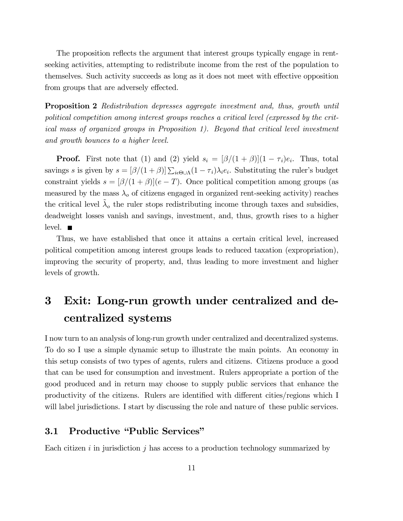The proposition reflects the argument that interest groups typically engage in rentseeking activities, attempting to redistribute income from the rest of the population to themselves. Such activity succeeds as long as it does not meet with effective opposition from groups that are adversely effected.

Proposition 2 Redistribution depresses aggregate investment and, thus, growth until political competition among interest groups reaches a critical level (expressed by the critical mass of organized groups in Proposition 1). Beyond that critical level investment and growth bounces to a higher level.

**Proof.** First note that (1) and (2) yield  $s_i = \frac{\beta}{(1+\beta)}(1-\tau_i)e_i$ . Thus, total savings s is given by  $s = [\beta/(1+\beta)] \sum_{i \in \Theta \cup \Lambda} (1 - \tau_i) \lambda_i e_i$ . Substituting the ruler's budget constraint yields  $s = \frac{\beta}{(1 + \beta)}(e - T)$ . Once political competition among groups (as measured by the mass  $\lambda_o$  of citizens engaged in organized rent-seeking activity) reaches the critical level  $\lambda_o$  the ruler stops redistributing income through taxes and subsidies, deadweight losses vanish and savings, investment, and, thus, growth rises to a higher level.  $\blacksquare$ 

Thus, we have established that once it attains a certain critical level, increased political competition among interest groups leads to reduced taxation (expropriation), improving the security of property, and, thus leading to more investment and higher levels of growth.

## 3 Exit: Long-run growth under centralized and decentralized systems

I now turn to an analysis of long-run growth under centralized and decentralized systems. To do so I use a simple dynamic setup to illustrate the main points. An economy in this setup consists of two types of agents, rulers and citizens. Citizens produce a good that can be used for consumption and investment. Rulers appropriate a portion of the good produced and in return may choose to supply public services that enhance the productivity of the citizens. Rulers are identified with different cities/regions which I will label jurisdictions. I start by discussing the role and nature of these public services.

#### 3.1 Productive "Public Services"

Each citizen  $i$  in jurisdiction  $j$  has access to a production technology summarized by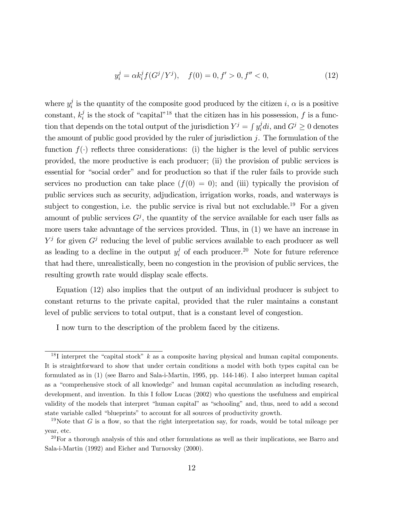$$
y_i^j = \alpha k_i^j f(G^j/Y^j), \quad f(0) = 0, f' > 0, f'' < 0,
$$
\n(12)

where  $y_i^j$  is the quantity of the composite good produced by the citizen i,  $\alpha$  is a positive constant,  $k_i^j$  is the stock of "capital"<sup>18</sup> that the citizen has in his possession, f is a function that depends on the total output of the jurisdiction  $Y^j = \int y_i^j di$ , and  $G^j \geq 0$  denotes the amount of public good provided by the ruler of jurisdiction  $j$ . The formulation of the function  $f(.)$  reflects three considerations: (i) the higher is the level of public services provided, the more productive is each producer; (ii) the provision of public services is essential for "social order" and for production so that if the ruler fails to provide such services no production can take place  $(f(0) = 0)$ ; and (iii) typically the provision of public services such as security, adjudication, irrigation works, roads, and waterways is subject to congestion, i.e. the public service is rival but not excludable.<sup>19</sup> For a given amount of public services  $G<sup>j</sup>$ , the quantity of the service available for each user falls as more users take advantage of the services provided. Thus, in (1) we have an increase in  $Y^j$  for given  $G^j$  reducing the level of public services available to each producer as well as leading to a decline in the output  $y_i^j$  of each producer.<sup>20</sup> Note for future reference that had there, unrealistically, been no congestion in the provision of public services, the resulting growth rate would display scale effects.

Equation (12) also implies that the output of an individual producer is subject to constant returns to the private capital, provided that the ruler maintains a constant level of public services to total output, that is a constant level of congestion.

I now turn to the description of the problem faced by the citizens.

<sup>&</sup>lt;sup>18</sup>I interpret the "capital stock"  $k$  as a composite having physical and human capital components. It is straightforward to show that under certain conditions a model with both types capital can be formulated as in (1) (see Barro and Sala-i-Martin, 1995, pp. 144-146). I also interpret human capital as a "comprehensive stock of all knowledge" and human capital accumulation as including research, development, and invention. In this I follow Lucas (2002) who questions the usefulness and empirical validity of the models that interpret "human capital" as "schooling" and, thus, need to add a second state variable called "blueprints" to account for all sources of productivity growth.

<sup>&</sup>lt;sup>19</sup>Note that G is a flow, so that the right interpretation say, for roads, would be total mileage per year, etc.

 $^{20}$  For a thorough analysis of this and other formulations as well as their implications, see Barro and Sala-i-Martin (1992) and Eicher and Turnovsky (2000).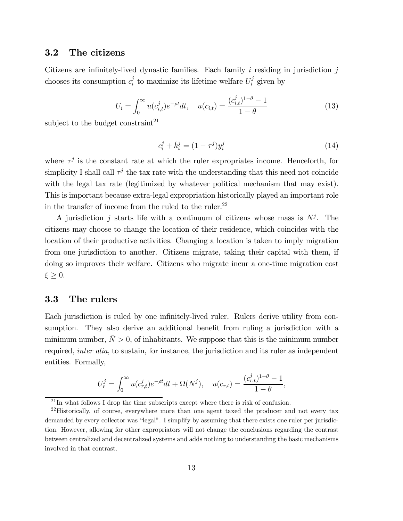### 3.2 The citizens

Citizens are infinitely-lived dynastic families. Each family i residing in jurisdiction  $j$ chooses its consumption  $c_i^j$  to maximize its lifetime welfare  $U_i^j$  given by

$$
U_i = \int_0^\infty u(c_{i,t}^j)e^{-\rho t}dt, \quad u(c_{i,t}) = \frac{(c_{i,t}^j)^{1-\theta} - 1}{1-\theta}
$$
\n(13)

subject to the budget constraint<sup>21</sup>

$$
c_i^j + \dot{k}_i^j = (1 - \tau^j)y_i^j \tag{14}
$$

where  $\tau^j$  is the constant rate at which the ruler expropriates income. Henceforth, for simplicity I shall call  $\tau^j$  the tax rate with the understanding that this need not coincide with the legal tax rate (legitimized by whatever political mechanism that may exist). This is important because extra-legal expropriation historically played an important role in the transfer of income from the ruled to the ruler.<sup>22</sup>

A jurisdiction j starts life with a continuum of citizens whose mass is  $N^j$ . The citizens may choose to change the location of their residence, which coincides with the location of their productive activities. Changing a location is taken to imply migration from one jurisdiction to another. Citizens migrate, taking their capital with them, if doing so improves their welfare. Citizens who migrate incur a one-time migration cost  $\xi \geq 0$ .

#### 3.3 The rulers

Each jurisdiction is ruled by one infinitely-lived ruler. Rulers derive utility from consumption. They also derive an additional benefit from ruling a jurisdiction with a minimum number,  $\overline{N} > 0$ , of inhabitants. We suppose that this is the minimum number required, *inter alia*, to sustain, for instance, the jurisdiction and its ruler as independent entities. Formally,

$$
U_r^j = \int_0^\infty u(c_{r,t}^j)e^{-\rho t}dt + \Omega(N^j), \quad u(c_{r,t}) = \frac{(c_{r,t}^j)^{1-\theta} - 1}{1-\theta},
$$

 $21$  In what follows I drop the time subscripts except where there is risk of confusion.

 $22$ Historically, of course, everywhere more than one agent taxed the producer and not every tax demanded by every collector was "legal". I simplify by assuming that there exists one ruler per jurisdiction. However, allowing for other expropriators will not change the conclusions regarding the contrast between centralized and decentralized systems and adds nothing to understanding the basic mechanisms involved in that contrast.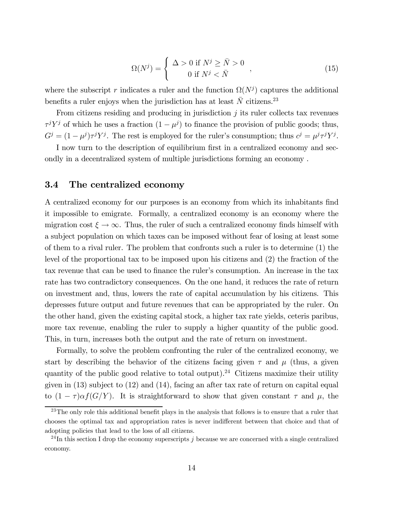$$
\Omega(N^j) = \begin{cases}\n\Delta > 0 \text{ if } N^j \ge \bar{N} > 0 \\
0 & \text{if } N^j < \bar{N}\n\end{cases},\n\tag{15}
$$

where the subscript r indicates a ruler and the function  $\Omega(N^j)$  captures the additional benefits a ruler enjoys when the jurisdiction has at least  $\bar{N}$  citizens.<sup>23</sup>

From citizens residing and producing in jurisdiction  $j$  its ruler collects tax revenues  $\tau^j Y^j$  of which he uses a fraction  $(1 - \mu^j)$  to finance the provision of public goods; thus,  $G^j = (1 - \mu^j) \tau^j Y^j$ . The rest is employed for the ruler's consumption; thus  $c^j = \mu^j \tau^j Y^j$ .

I now turn to the description of equilibrium first in a centralized economy and secondly in a decentralized system of multiple jurisdictions forming an economy .

#### 3.4 The centralized economy

A centralized economy for our purposes is an economy from which its inhabitants find it impossible to emigrate. Formally, a centralized economy is an economy where the migration cost  $\xi \to \infty$ . Thus, the ruler of such a centralized economy finds himself with a subject population on which taxes can be imposed without fear of losing at least some of them to a rival ruler. The problem that confronts such a ruler is to determine (1) the level of the proportional tax to be imposed upon his citizens and (2) the fraction of the tax revenue that can be used to finance the ruler's consumption. An increase in the tax rate has two contradictory consequences. On the one hand, it reduces the rate of return on investment and, thus, lowers the rate of capital accumulation by his citizens. This depresses future output and future revenues that can be appropriated by the ruler. On the other hand, given the existing capital stock, a higher tax rate yields, ceteris paribus, more tax revenue, enabling the ruler to supply a higher quantity of the public good. This, in turn, increases both the output and the rate of return on investment.

Formally, to solve the problem confronting the ruler of the centralized economy, we start by describing the behavior of the citizens facing given  $\tau$  and  $\mu$  (thus, a given quantity of the public good relative to total output).<sup>24</sup> Citizens maximize their utility given in (13) subject to (12) and (14), facing an after tax rate of return on capital equal to  $(1 - \tau)\alpha f(G/Y)$ . It is straightforward to show that given constant  $\tau$  and  $\mu$ , the

 $23$ The only role this additional benefit plays in the analysis that follows is to ensure that a ruler that chooses the optimal tax and appropriation rates is never indifferent between that choice and that of adopting policies that lead to the loss of all citizens.

<sup>&</sup>lt;sup>24</sup>In this section I drop the economy superscripts j because we are concerned with a single centralized economy.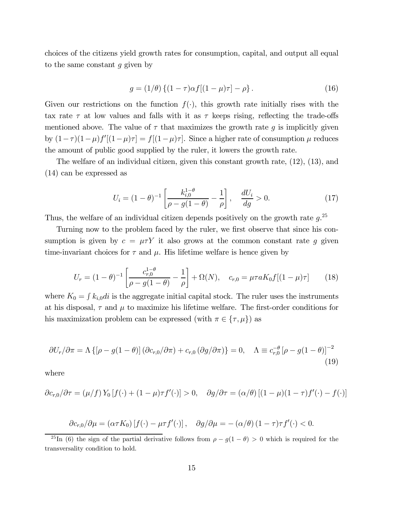choices of the citizens yield growth rates for consumption, capital, and output all equal to the same constant  $g$  given by

$$
g = (1/\theta) \{ (1 - \tau) \alpha f [(1 - \mu)\tau] - \rho \}.
$$
 (16)

Given our restrictions on the function  $f(\cdot)$ , this growth rate initially rises with the tax rate  $\tau$  at low values and falls with it as  $\tau$  keeps rising, reflecting the trade-offs mentioned above. The value of  $\tau$  that maximizes the growth rate g is implicitly given by  $(1 - \tau)(1 - \mu)f'[(1 - \mu)\tau] = f[(1 - \mu)\tau]$ . Since a higher rate of consumption  $\mu$  reduces the amount of public good supplied by the ruler, it lowers the growth rate.

The welfare of an individual citizen, given this constant growth rate, (12), (13), and (14) can be expressed as

$$
U_i = (1 - \theta)^{-1} \left[ \frac{k_{i,0}^{1-\theta}}{\rho - g(1-\theta)} - \frac{1}{\rho} \right], \quad \frac{dU_i}{dg} > 0.
$$
 (17)

Thus, the welfare of an individual citizen depends positively on the growth rate  $g^{25}$ .

Turning now to the problem faced by the ruler, we first observe that since his consumption is given by  $c = \mu \tau Y$  it also grows at the common constant rate g given time-invariant choices for  $\tau$  and  $\mu$ . His lifetime welfare is hence given by

$$
U_r = (1 - \theta)^{-1} \left[ \frac{c_{r,0}^{1-\theta}}{\rho - g(1-\theta)} - \frac{1}{\rho} \right] + \Omega(N), \quad c_{r,0} = \mu \tau a K_0 f [(1 - \mu)\tau]
$$
(18)

where  $K_0 = \int k_{i,0}di$  is the aggregate initial capital stock. The ruler uses the instruments at his disposal,  $\tau$  and  $\mu$  to maximize his lifetime welfare. The first-order conditions for his maximization problem can be expressed (with  $\pi \in \{\tau, \mu\}$ ) as

$$
\partial U_r / \partial \pi = \Lambda \left\{ \left[ \rho - g(1 - \theta) \right] \left( \partial c_{r,0} / \partial \pi \right) + c_{r,0} \left( \partial g / \partial \pi \right) \right\} = 0, \quad \Lambda \equiv c_{r,0}^{-\theta} \left[ \rho - g(1 - \theta) \right]^{-2} \tag{19}
$$

where

$$
\partial c_{r,0}/\partial \tau = (\mu/f) Y_0 \left[ f(\cdot) + (1-\mu)\tau f'(\cdot) \right] > 0, \quad \partial g/\partial \tau = (\alpha/\theta) \left[ (1-\mu)(1-\tau)f'(\cdot) - f(\cdot) \right]
$$

$$
\partial c_{r,0}/\partial \mu = (\alpha \tau K_0) [f(\cdot) - \mu \tau f'(\cdot)], \quad \partial g/\partial \mu = -(\alpha/\theta) (1 - \tau) \tau f'(\cdot) < 0.
$$

<sup>&</sup>lt;sup>25</sup>In (6) the sign of the partial derivative follows from  $\rho - g(1 - \theta) > 0$  which is required for the transversality condition to hold.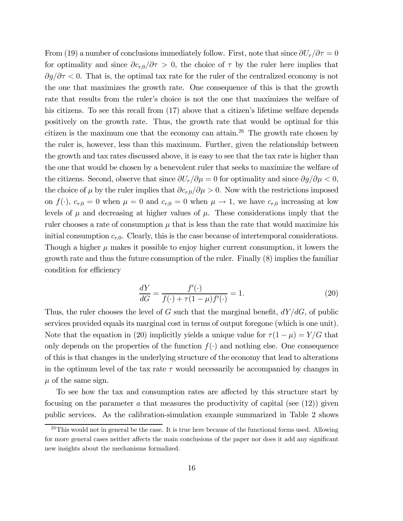From (19) a number of conclusions immediately follow. First, note that since  $\partial U_r/\partial \tau = 0$ for optimality and since  $\partial c_{r,0}/\partial \tau > 0$ , the choice of  $\tau$  by the ruler here implies that  $\partial g/\partial \tau$  < 0. That is, the optimal tax rate for the ruler of the centralized economy is not the one that maximizes the growth rate. One consequence of this is that the growth rate that results from the ruler's choice is not the one that maximizes the welfare of his citizens. To see this recall from  $(17)$  above that a citizen's lifetime welfare depends positively on the growth rate. Thus, the growth rate that would be optimal for this citizen is the maximum one that the economy can attain.26 The growth rate chosen by the ruler is, however, less than this maximum. Further, given the relationship between the growth and tax rates discussed above, it is easy to see that the tax rate is higher than the one that would be chosen by a benevolent ruler that seeks to maximize the welfare of the citizens. Second, observe that since  $\partial U_r/\partial \mu = 0$  for optimality and since  $\partial g/\partial \mu < 0$ , the choice of  $\mu$  by the ruler implies that  $\partial c_{r,0}/\partial \mu > 0$ . Now with the restrictions imposed on  $f(\cdot)$ ,  $c_{r,0} = 0$  when  $\mu = 0$  and  $c_{r,0} = 0$  when  $\mu \to 1$ , we have  $c_{r,0}$  increasing at low levels of  $\mu$  and decreasing at higher values of  $\mu$ . These considerations imply that the ruler chooses a rate of consumption  $\mu$  that is less than the rate that would maximize his initial consumption  $c_{r,0}$ . Clearly, this is the case because of intertemporal considerations. Though a higher  $\mu$  makes it possible to enjoy higher current consumption, it lowers the growth rate and thus the future consumption of the ruler. Finally (8) implies the familiar condition for efficiency

$$
\frac{dY}{dG} = \frac{f'(\cdot)}{f(\cdot) + \tau(1 - \mu)f'(\cdot)} = 1.
$$
\n(20)

Thus, the ruler chooses the level of G such that the marginal benefit,  $dY/dG$ , of public services provided equals its marginal cost in terms of output foregone (which is one unit). Note that the equation in (20) implicitly yields a unique value for  $\tau(1-\mu) = Y/G$  that only depends on the properties of the function  $f(\cdot)$  and nothing else. One consequence of this is that changes in the underlying structure of the economy that lead to alterations in the optimum level of the tax rate  $\tau$  would necessarily be accompanied by changes in  $\mu$  of the same sign.

To see how the tax and consumption rates are affected by this structure start by focusing on the parameter  $a$  that measures the productivity of capital (see  $(12)$ ) given public services. As the calibration-simulation example summarized in Table 2 shows

 $^{26}$ This would not in general be the case. It is true here because of the functional forms used. Allowing for more general cases neither affects the main conclusions of the paper nor does it add any significant new insights about the mechanisms formalized.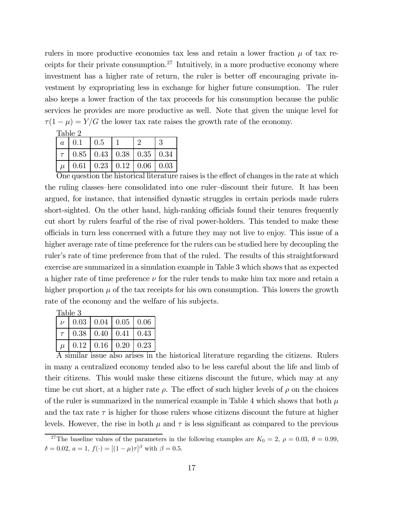rulers in more productive economies tax less and retain a lower fraction  $\mu$  of tax receipts for their private consumption.<sup>27</sup> Intuitively, in a more productive economy where investment has a higher rate of return, the ruler is better off encouraging private investment by expropriating less in exchange for higher future consumption. The ruler also keeps a lower fraction of the tax proceeds for his consumption because the public services he provides are more productive as well. Note that given the unique level for  $\tau(1-\mu) = Y/G$  the lower tax rate raises the growth rate of the economy.

| Table 2  |          |                                                          |  |                                 |      |  |
|----------|----------|----------------------------------------------------------|--|---------------------------------|------|--|
| $\alpha$ | 0.1      | 0.5                                                      |  |                                 |      |  |
|          |          | $\vert 0.85 \vert 0.43 \vert 0.38 \vert 0.35 \vert 0.34$ |  |                                 |      |  |
| $\mu$    | $0.61\,$ |                                                          |  | $0.23 \mid 0.12 \mid 0.06 \mid$ | 0.03 |  |

One question the historical literature raises is the effect of changes in the rate at which the ruling classes—here consolidated into one ruler—discount their future. It has been argued, for instance, that intensified dynastic struggles in certain periods made rulers short-sighted. On the other hand, high-ranking officials found their tenures frequently cut short by rulers fearful of the rise of rival power-holders. This tended to make these officials in turn less concerned with a future they may not live to enjoy. This issue of a higher average rate of time preference for the rulers can be studied here by decoupling the ruler's rate of time preference from that of the ruled. The results of this straightforward exercise are summarized in a simulation example in Table 3 which shows that as expected a higher rate of time preference  $\nu$  for the ruler tends to make him tax more and retain a higher proportion  $\mu$  of the tax receipts for his own consumption. This lowers the growth rate of the economy and the welfare of his subjects.

| Table 3        |                                               |                                      |  |  |  |  |
|----------------|-----------------------------------------------|--------------------------------------|--|--|--|--|
| $\overline{U}$ | $\vert 0.03 \vert 0.04 \vert 0.05 \vert 0.06$ |                                      |  |  |  |  |
|                |                                               | $0.38 \mid 0.40 \mid 0.41 \mid 0.43$ |  |  |  |  |
|                |                                               | $0.12 \mid 0.16 \mid 0.20 \mid 0.23$ |  |  |  |  |

A similar issue also arises in the historical literature regarding the citizens. Rulers in many a centralized economy tended also to be less careful about the life and limb of their citizens. This would make these citizens discount the future, which may at any time be cut short, at a higher rate  $\rho$ . The effect of such higher levels of  $\rho$  on the choices of the ruler is summarized in the numerical example in Table 4 which shows that both  $\mu$ and the tax rate  $\tau$  is higher for those rulers whose citizens discount the future at higher levels. However, the rise in both  $\mu$  and  $\tau$  is less significant as compared to the previous

<sup>&</sup>lt;sup>27</sup>The baseline values of the parameters in the following examples are  $K_0 = 2$ ,  $\rho = 0.03$ ,  $\theta = 0.99$ ,  $\delta = 0.02, a = 1, f(\cdot) = [(1 - \mu)\tau]^{\beta}$  with  $\beta = 0.5$ .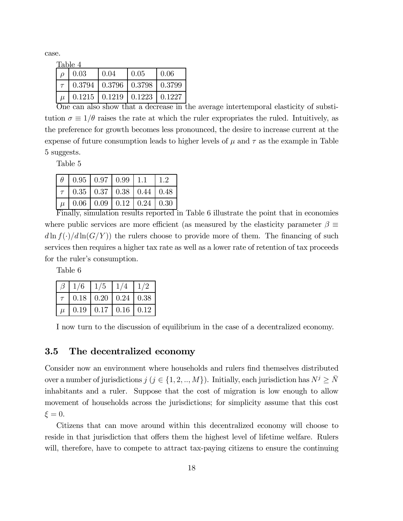case.

| Table 4 |                                                   |        |                                           |       |  |  |
|---------|---------------------------------------------------|--------|-------------------------------------------|-------|--|--|
|         | 0.03                                              | l 0.04 | 10.05                                     | -0.06 |  |  |
|         | $\mid 0.3794 \mid 0.3796 \mid 0.3798 \mid 0.3799$ |        |                                           |       |  |  |
| $\mu$   |                                                   |        | $0.1215$   $0.1219$   $0.1223$   $0.1227$ |       |  |  |

One can also show that a decrease in the average intertemporal elasticity of substitution  $\sigma \equiv 1/\theta$  raises the rate at which the ruler expropriates the ruled. Intuitively, as the preference for growth becomes less pronounced, the desire to increase current at the expense of future consumption leads to higher levels of  $\mu$  and  $\tau$  as the example in Table 5 suggests.

Table 5

|       |                                           | $0.95 \mid 0.97 \mid 0.99 \mid 1.1$ |                                            |  |
|-------|-------------------------------------------|-------------------------------------|--------------------------------------------|--|
|       | $\tau$   0.35   0.37   0.38   0.44   0.48 |                                     |                                            |  |
| $\mu$ |                                           |                                     | $0.06$   $0.09$   $0.12$   $0.24$   $0.30$ |  |

Finally, simulation results reported in Table 6 illustrate the point that in economies where public services are more efficient (as measured by the elasticity parameter  $\beta \equiv$  $d \ln f(\cdot)/d \ln(G/Y)$  the rulers choose to provide more of them. The financing of such services then requires a higher tax rate as well as a lower rate of retention of tax proceeds for the ruler's consumption.

Table 6

|       | 1/6  | 1/5  | 1/4  |             |
|-------|------|------|------|-------------|
|       | 0.18 | 0.20 | 0.24 | $\mid$ 0.38 |
| $\mu$ | 0.19 | 0.17 | 0.16 | 0.12        |

I now turn to the discussion of equilibrium in the case of a decentralized economy.

#### 3.5 The decentralized economy

Consider now an environment where households and rulers find themselves distributed over a number of jurisdictions  $j$  ( $j \in \{1, 2, ..., M\}$ ). Initially, each jurisdiction has  $N^j \geq \overline{N}$ inhabitants and a ruler. Suppose that the cost of migration is low enough to allow movement of households across the jurisdictions; for simplicity assume that this cost  $\xi = 0$ .

Citizens that can move around within this decentralized economy will choose to reside in that jurisdiction that offers them the highest level of lifetime welfare. Rulers will, therefore, have to compete to attract tax-paying citizens to ensure the continuing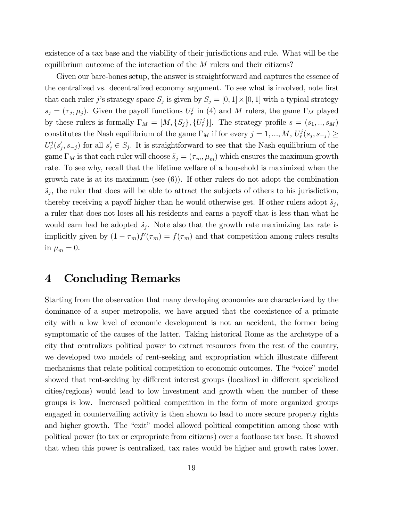existence of a tax base and the viability of their jurisdictions and rule. What will be the equilibrium outcome of the interaction of the  $M$  rulers and their citizens?

Given our bare-bones setup, the answer is straightforward and captures the essence of the centralized vs. decentralized economy argument. To see what is involved, note first that each ruler j's strategy space  $S_j$  is given by  $S_j = [0, 1] \times [0, 1]$  with a typical strategy  $s_j = (\tau_j, \mu_j)$ . Given the payoff functions  $U_r^j$  in (4) and M rulers, the game  $\Gamma_M$  played by these rulers is formally  $\Gamma_M = [M, \{S_j\}, \{U_r^j\}]$ . The strategy profile  $s = (s_1, ..., s_M)$ constitutes the Nash equilibrium of the game  $\Gamma_M$  if for every  $j = 1, ..., M$ ,  $U_r^j(s_j, s_{-j}) \geq$  $U_r^j(s'_j, s_{-j})$  for all  $s'_j \in S_j$ . It is straightforward to see that the Nash equilibrium of the game  $\Gamma_M$  is that each ruler will choose  $\tilde{s}_j = (\tau_m, \mu_m)$  which ensures the maximum growth rate. To see why, recall that the lifetime welfare of a household is maximized when the growth rate is at its maximum (see  $(6)$ ). If other rulers do not adopt the combination  $\tilde{s}_j$ , the ruler that does will be able to attract the subjects of others to his jurisdiction, thereby receiving a payoff higher than he would otherwise get. If other rulers adopt  $\tilde{s}_j$ , a ruler that does not loses all his residents and earns a payoff that is less than what he would earn had he adopted  $\tilde{s}_i$ . Note also that the growth rate maximizing tax rate is implicitly given by  $(1 - \tau_m) f'(\tau_m) = f(\tau_m)$  and that competition among rulers results in  $\mu_m = 0$ .

### 4 Concluding Remarks

Starting from the observation that many developing economies are characterized by the dominance of a super metropolis, we have argued that the coexistence of a primate city with a low level of economic development is not an accident, the former being symptomatic of the causes of the latter. Taking historical Rome as the archetype of a city that centralizes political power to extract resources from the rest of the country, we developed two models of rent-seeking and expropriation which illustrate different mechanisms that relate political competition to economic outcomes. The "voice" model showed that rent-seeking by different interest groups (localized in different specialized cities/regions) would lead to low investment and growth when the number of these groups is low. Increased political competition in the form of more organized groups engaged in countervailing activity is then shown to lead to more secure property rights and higher growth. The "exit" model allowed political competition among those with political power (to tax or expropriate from citizens) over a footloose tax base. It showed that when this power is centralized, tax rates would be higher and growth rates lower.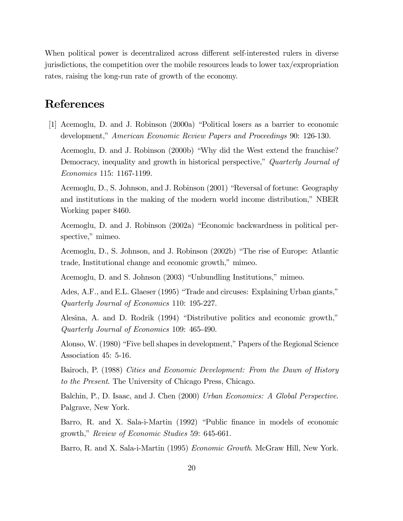When political power is decentralized across different self-interested rulers in diverse jurisdictions, the competition over the mobile resources leads to lower tax/expropriation rates, raising the long-run rate of growth of the economy.

### References

[1] Acemoglu, D. and J. Robinson (2000a) "Political losers as a barrier to economic development," American Economic Review Papers and Proceedings 90: 126-130.

Acemoglu, D. and J. Robinson (2000b) "Why did the West extend the franchise? Democracy, inequality and growth in historical perspective," Quarterly Journal of Economics 115: 1167-1199.

Acemoglu, D., S. Johnson, and J. Robinson (2001) "Reversal of fortune: Geography and institutions in the making of the modern world income distribution," NBER Working paper 8460.

Acemoglu, D. and J. Robinson (2002a) "Economic backwardness in political perspective," mimeo.

Acemoglu, D., S. Johnson, and J. Robinson (2002b) "The rise of Europe: Atlantic trade, Institutional change and economic growth," mimeo.

Acemoglu, D. and S. Johnson (2003) "Unbundling Institutions," mimeo.

Ades, A.F., and E.L. Glaeser (1995) "Trade and circuses: Explaining Urban giants," Quarterly Journal of Economics 110: 195-227.

Alesina, A. and D. Rodrik (1994) "Distributive politics and economic growth," Quarterly Journal of Economics 109: 465-490.

Alonso, W. (1980) "Five bell shapes in development," Papers of the Regional Science Association 45: 5-16.

Bairoch, P. (1988) Cities and Economic Development: From the Dawn of History to the Present. The University of Chicago Press, Chicago.

Balchin, P., D. Isaac, and J. Chen (2000) Urban Economics: A Global Perspective. Palgrave, New York.

Barro, R. and X. Sala-i-Martin (1992) "Public finance in models of economic growth," Review of Economic Studies 59: 645-661.

Barro, R. and X. Sala-i-Martin (1995) Economic Growth. McGraw Hill, New York.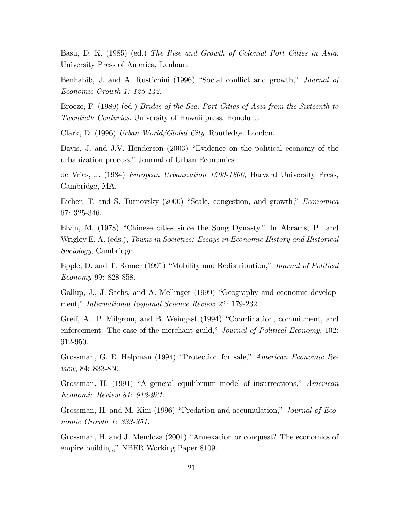Basu, D. K. (1985) (ed.) The Rise and Growth of Colonial Port Cities in Asia. University Press of America, Lanham.

Benhabib, J. and A. Rustichini (1996) "Social conflict and growth," Journal of Economic Growth 1: 125-142.

Broeze, F. (1989) (ed.) Brides of the Sea, Port Cities of Asia from the Sixteenth to Twentieth Centuries. University of Hawaii press, Honolulu.

Clark, D. (1996) Urban World/Global City. Routledge, London.

Davis, J. and J.V. Henderson (2003) "Evidence on the political economy of the urbanization process," Journal of Urban Economics

de Vries, J. (1984) European Urbanization 1500-1800, Harvard University Press, Cambridge, MA.

Eicher, T. and S. Turnovsky (2000) "Scale, congestion, and growth," *Economica* 67: 325-346.

Elvin, M. (1978) "Chinese cities since the Sung Dynasty," In Abrams, P., and Wrigley E. A. (eds.), Towns in Societies: Essays in Economic History and Historical Sociology, Cambridge.

Epple, D. and T. Romer (1991) "Mobility and Redistribution," *Journal of Political* Economy 99: 828-858.

Gallup, J., J. Sachs, and A. Mellinger (1999) "Geography and economic development," International Regional Science Review 22: 179-232.

Greif, A., P. Milgrom, and B. Weingast (1994) "Coordination, commitment, and enforcement: The case of the merchant guild," *Journal of Political Economy*, 102: 912-950.

Grossman, G. E. Helpman (1994) "Protection for sale," American Economic Review, 84: 833-850.

Grossman, H. (1991) "A general equilibrium model of insurrections," American Economic Review 81: 912-921.

Grossman, H. and M. Kim (1996) "Predation and accumulation," Journal of Economic Growth 1: 333-351.

Grossman, H. and J. Mendoza (2001) "Annexation or conquest? The economics of empire building," NBER Working Paper 8109.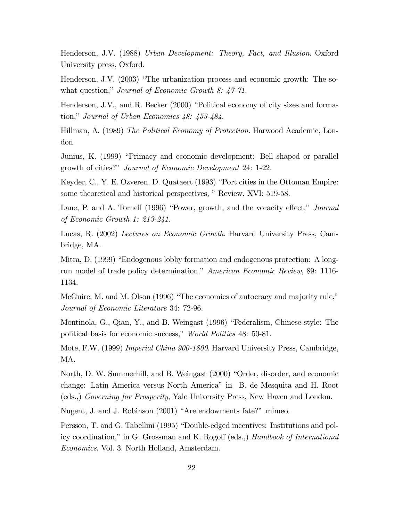Henderson, J.V. (1988) Urban Development: Theory, Fact, and Illusion. Oxford University press, Oxford.

Henderson, J.V. (2003) "The urbanization process and economic growth: The sowhat question," Journal of Economic Growth 8:  $47-71$ .

Henderson, J.V., and R. Becker (2000) "Political economy of city sizes and formation," Journal of Urban Economics  $48: 453-484$ .

Hillman, A. (1989) The Political Economy of Protection. Harwood Academic, London.

Junius, K. (1999) "Primacy and economic development: Bell shaped or parallel growth of cities?" Journal of Economic Development 24: 1-22.

Keyder, C., Y. E. Ozveren, D. Quataert (1993) "Port cities in the Ottoman Empire: some theoretical and historical perspectives, "Review, XVI: 519-58.

Lane, P. and A. Tornell (1996) "Power, growth, and the voracity effect," Journal of Economic Growth 1: 213-241.

Lucas, R. (2002) Lectures on Economic Growth. Harvard University Press, Cambridge, MA.

Mitra, D. (1999) "Endogenous lobby formation and endogenous protection: A longrun model of trade policy determination," American Economic Review, 89: 1116-1134.

McGuire, M. and M. Olson (1996) "The economics of autocracy and majority rule," Journal of Economic Literature 34: 72-96.

Montinola, G., Qian, Y., and B. Weingast (1996) "Federalism, Chinese style: The political basis for economic success," World Politics 48: 50-81.

Mote, F.W. (1999) Imperial China 900-1800. Harvard University Press, Cambridge, MA.

North, D. W. Summerhill, and B. Weingast (2000) "Order, disorder, and economic change: Latin America versus North Americaî in B. de Mesquita and H. Root (eds.,) Governing for Prosperity, Yale University Press, New Haven and London.

Nugent, J. and J. Robinson (2001) "Are endowments fate?" mimeo.

Persson, T. and G. Tabellini (1995) "Double-edged incentives: Institutions and policy coordination," in G. Grossman and K. Rogoff (eds.,) Handbook of International Economics. Vol. 3. North Holland, Amsterdam.